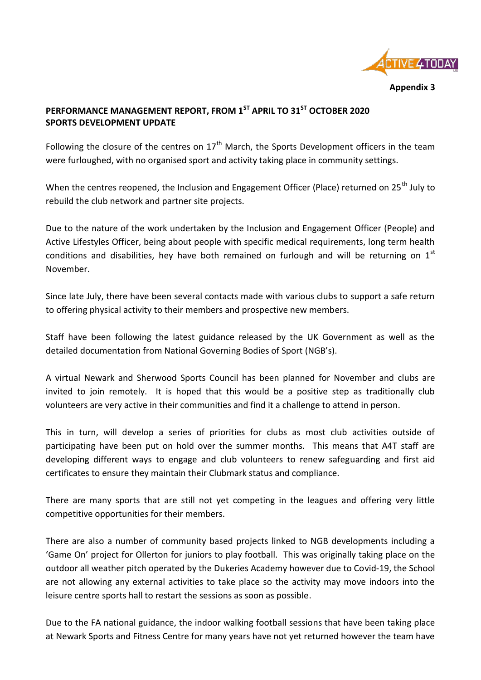

**Appendix 3**

## **PERFORMANCE MANAGEMENT REPORT, FROM 1ST APRIL TO 31ST OCTOBER 2020 SPORTS DEVELOPMENT UPDATE**

Following the closure of the centres on  $17<sup>th</sup>$  March, the Sports Development officers in the team were furloughed, with no organised sport and activity taking place in community settings.

When the centres reopened, the Inclusion and Engagement Officer (Place) returned on 25<sup>th</sup> July to rebuild the club network and partner site projects.

Due to the nature of the work undertaken by the Inclusion and Engagement Officer (People) and Active Lifestyles Officer, being about people with specific medical requirements, long term health conditions and disabilities, hey have both remained on furlough and will be returning on  $1<sup>st</sup>$ November.

Since late July, there have been several contacts made with various clubs to support a safe return to offering physical activity to their members and prospective new members.

Staff have been following the latest guidance released by the UK Government as well as the detailed documentation from National Governing Bodies of Sport (NGB's).

A virtual Newark and Sherwood Sports Council has been planned for November and clubs are invited to join remotely. It is hoped that this would be a positive step as traditionally club volunteers are very active in their communities and find it a challenge to attend in person.

This in turn, will develop a series of priorities for clubs as most club activities outside of participating have been put on hold over the summer months. This means that A4T staff are developing different ways to engage and club volunteers to renew safeguarding and first aid certificates to ensure they maintain their Clubmark status and compliance.

There are many sports that are still not yet competing in the leagues and offering very little competitive opportunities for their members.

There are also a number of community based projects linked to NGB developments including a 'Game On' project for Ollerton for juniors to play football. This was originally taking place on the outdoor all weather pitch operated by the Dukeries Academy however due to Covid-19, the School are not allowing any external activities to take place so the activity may move indoors into the leisure centre sports hall to restart the sessions as soon as possible.

Due to the FA national guidance, the indoor walking football sessions that have been taking place at Newark Sports and Fitness Centre for many years have not yet returned however the team have